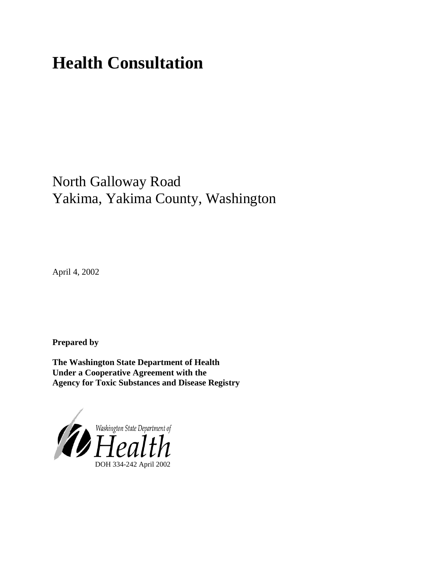# **Health Consultation**

## North Galloway Road Yakima, Yakima County, Washington

April 4, 2002

**Prepared by**

**The Washington State Department of Health Under a Cooperative Agreement with the Agency for Toxic Substances and Disease Registry**

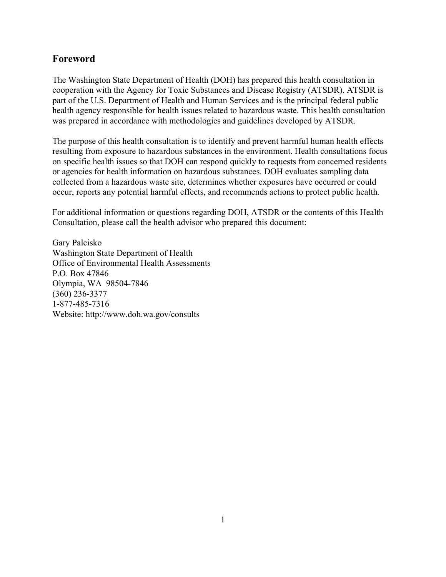## **Foreword**

The Washington State Department of Health (DOH) has prepared this health consultation in cooperation with the Agency for Toxic Substances and Disease Registry (ATSDR). ATSDR is part of the U.S. Department of Health and Human Services and is the principal federal public health agency responsible for health issues related to hazardous waste. This health consultation was prepared in accordance with methodologies and guidelines developed by ATSDR.

The purpose of this health consultation is to identify and prevent harmful human health effects resulting from exposure to hazardous substances in the environment. Health consultations focus on specific health issues so that DOH can respond quickly to requests from concerned residents or agencies for health information on hazardous substances. DOH evaluates sampling data collected from a hazardous waste site, determines whether exposures have occurred or could occur, reports any potential harmful effects, and recommends actions to protect public health.

For additional information or questions regarding DOH, ATSDR or the contents of this Health Consultation, please call the health advisor who prepared this document:

Gary Palcisko Washington State Department of Health Office of Environmental Health Assessments P.O. Box 47846 Olympia, WA 98504-7846 (360) 236-3377 1-877-485-7316 Website: [http://www.doh.wa.gov/](http://www.doh.wa.gov/consults)consults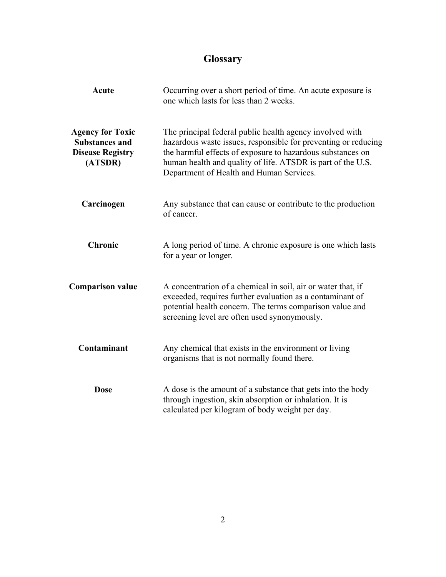## **Glossary**

| <b>Acute</b>                                                                           | Occurring over a short period of time. An acute exposure is<br>one which lasts for less than 2 weeks.<br>The principal federal public health agency involved with<br>hazardous waste issues, responsible for preventing or reducing<br>the harmful effects of exposure to hazardous substances on<br>human health and quality of life. ATSDR is part of the U.S.<br>Department of Health and Human Services. |  |  |
|----------------------------------------------------------------------------------------|--------------------------------------------------------------------------------------------------------------------------------------------------------------------------------------------------------------------------------------------------------------------------------------------------------------------------------------------------------------------------------------------------------------|--|--|
| <b>Agency for Toxic</b><br><b>Substances and</b><br><b>Disease Registry</b><br>(ATSDR) |                                                                                                                                                                                                                                                                                                                                                                                                              |  |  |
| Carcinogen                                                                             | Any substance that can cause or contribute to the production<br>of cancer.                                                                                                                                                                                                                                                                                                                                   |  |  |
| <b>Chronic</b>                                                                         | A long period of time. A chronic exposure is one which lasts<br>for a year or longer.                                                                                                                                                                                                                                                                                                                        |  |  |
| <b>Comparison value</b>                                                                | A concentration of a chemical in soil, air or water that, if<br>exceeded, requires further evaluation as a contaminant of<br>potential health concern. The terms comparison value and<br>screening level are often used synonymously.                                                                                                                                                                        |  |  |
| Contaminant                                                                            | Any chemical that exists in the environment or living<br>organisms that is not normally found there.                                                                                                                                                                                                                                                                                                         |  |  |
| <b>Dose</b>                                                                            | A dose is the amount of a substance that gets into the body<br>through ingestion, skin absorption or inhalation. It is<br>calculated per kilogram of body weight per day.                                                                                                                                                                                                                                    |  |  |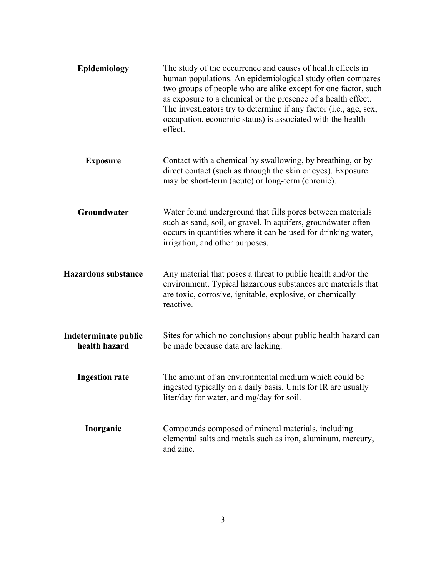| Epidemiology                          | The study of the occurrence and causes of health effects in<br>human populations. An epidemiological study often compares<br>two groups of people who are alike except for one factor, such<br>as exposure to a chemical or the presence of a health effect.<br>The investigators try to determine if any factor (i.e., age, sex,<br>occupation, economic status) is associated with the health<br>effect. |
|---------------------------------------|------------------------------------------------------------------------------------------------------------------------------------------------------------------------------------------------------------------------------------------------------------------------------------------------------------------------------------------------------------------------------------------------------------|
| <b>Exposure</b>                       | Contact with a chemical by swallowing, by breathing, or by<br>direct contact (such as through the skin or eyes). Exposure<br>may be short-term (acute) or long-term (chronic).                                                                                                                                                                                                                             |
| Groundwater                           | Water found underground that fills pores between materials<br>such as sand, soil, or gravel. In aquifers, groundwater often<br>occurs in quantities where it can be used for drinking water,<br>irrigation, and other purposes.                                                                                                                                                                            |
| <b>Hazardous substance</b>            | Any material that poses a threat to public health and/or the<br>environment. Typical hazardous substances are materials that<br>are toxic, corrosive, ignitable, explosive, or chemically<br>reactive.                                                                                                                                                                                                     |
| Indeterminate public<br>health hazard | Sites for which no conclusions about public health hazard can<br>be made because data are lacking.                                                                                                                                                                                                                                                                                                         |
| <b>Ingestion rate</b>                 | The amount of an environmental medium which could be<br>ingested typically on a daily basis. Units for IR are usually<br>liter/day for water, and mg/day for soil.                                                                                                                                                                                                                                         |
| Inorganic                             | Compounds composed of mineral materials, including<br>elemental salts and metals such as iron, aluminum, mercury,<br>and zinc.                                                                                                                                                                                                                                                                             |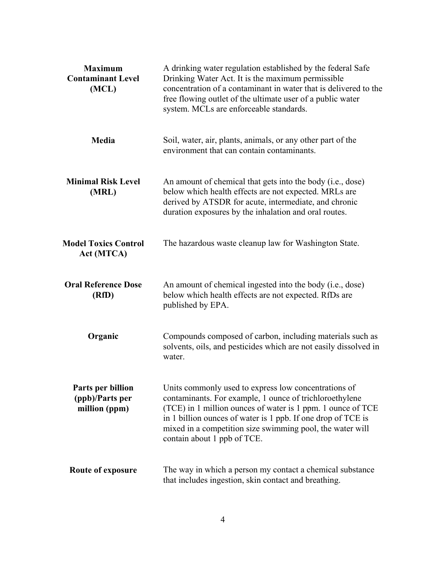| <b>Maximum</b><br><b>Contaminant Level</b><br>(MCL)   | A drinking water regulation established by the federal Safe<br>Drinking Water Act. It is the maximum permissible<br>concentration of a contaminant in water that is delivered to the<br>free flowing outlet of the ultimate user of a public water<br>system. MCLs are enforceable standards.                                              |  |  |
|-------------------------------------------------------|--------------------------------------------------------------------------------------------------------------------------------------------------------------------------------------------------------------------------------------------------------------------------------------------------------------------------------------------|--|--|
| Media                                                 | Soil, water, air, plants, animals, or any other part of the<br>environment that can contain contaminants.                                                                                                                                                                                                                                  |  |  |
| <b>Minimal Risk Level</b><br>(MRL)                    | An amount of chemical that gets into the body (i.e., dose)<br>below which health effects are not expected. MRLs are<br>derived by ATSDR for acute, intermediate, and chronic<br>duration exposures by the inhalation and oral routes.                                                                                                      |  |  |
| <b>Model Toxics Control</b><br>Act (MTCA)             | The hazardous waste cleanup law for Washington State.                                                                                                                                                                                                                                                                                      |  |  |
| <b>Oral Reference Dose</b><br>(RfD)                   | An amount of chemical ingested into the body (i.e., dose)<br>below which health effects are not expected. RfDs are<br>published by EPA.                                                                                                                                                                                                    |  |  |
| Organic                                               | Compounds composed of carbon, including materials such as<br>solvents, oils, and pesticides which are not easily dissolved in<br>water.                                                                                                                                                                                                    |  |  |
| Parts per billion<br>(ppb)/Parts per<br>million (ppm) | Units commonly used to express low concentrations of<br>contaminants. For example, 1 ounce of trichloroethylene<br>(TCE) in 1 million ounces of water is 1 ppm. 1 ounce of TCE<br>in 1 billion ounces of water is 1 ppb. If one drop of TCE is<br>mixed in a competition size swimming pool, the water will<br>contain about 1 ppb of TCE. |  |  |
| Route of exposure                                     | The way in which a person my contact a chemical substance<br>that includes ingestion, skin contact and breathing.                                                                                                                                                                                                                          |  |  |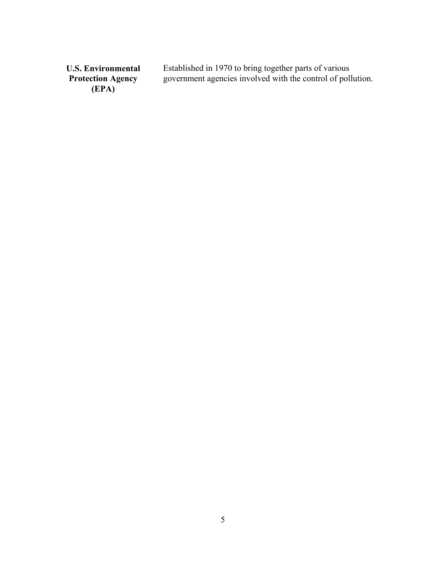**U.S. Environmental Protection Agency (EPA)** Established in 1970 to bring together parts of various government agencies involved with the control of pollution.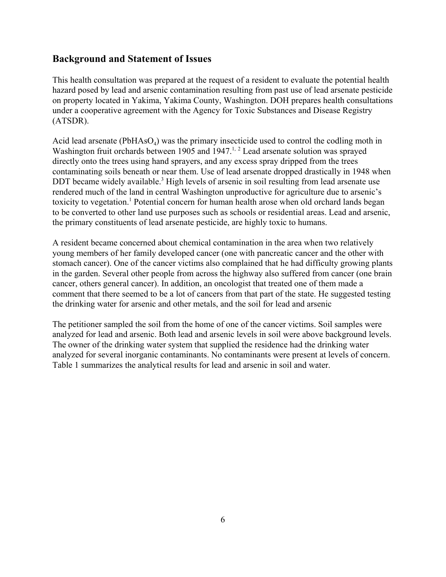## **Background and Statement of Issues**

This health consultation was prepared at the request of a resident to evaluate the potential health hazard posed by lead and arsenic contamination resulting from past use of lead arsenate pesticide on property located in Yakima, Yakima County, Washington. DOH prepares health consultations under a cooperative agreement with the Agency for Toxic Substances and Disease Registry (ATSDR).

Acid lead arsenate ( $PbHAsO<sub>4</sub>$ ) was the primary insecticide used to control the codling moth in Washington fruit orchards between 1905 and 1947. $<sup>1, 2</sup>$  Lead arsenate solution was sprayed</sup> directly onto the trees using hand sprayers, and any excess spray dripped from the trees contaminating soils beneath or near them. Use of lead arsenate dropped drastically in 1948 when DDT became widely available.<sup>3</sup> High levels of arsenic in soil resulting from lead arsenate use rendered much of the land in central Washington unproductive for agriculture due to arsenic's toxicity to vegetation.<sup>1</sup> Potential concern for human health arose when old orchard lands began to be converted to other land use purposes such as schools or residential areas. Lead and arsenic, the primary constituents of lead arsenate pesticide, are highly toxic to humans.

A resident became concerned about chemical contamination in the area when two relatively young members of her family developed cancer (one with pancreatic cancer and the other with stomach cancer). One of the cancer victims also complained that he had difficulty growing plants in the garden. Several other people from across the highway also suffered from cancer (one brain cancer, others general cancer). In addition, an oncologist that treated one of them made a comment that there seemed to be a lot of cancers from that part of the state. He suggested testing the drinking water for arsenic and other metals, and the soil for lead and arsenic

The petitioner sampled the soil from the home of one of the cancer victims. Soil samples were analyzed for lead and arsenic. Both lead and arsenic levels in soil were above background levels. The owner of the drinking water system that supplied the residence had the drinking water analyzed for several inorganic contaminants. No contaminants were present at levels of concern. Table 1 summarizes the analytical results for lead and arsenic in soil and water.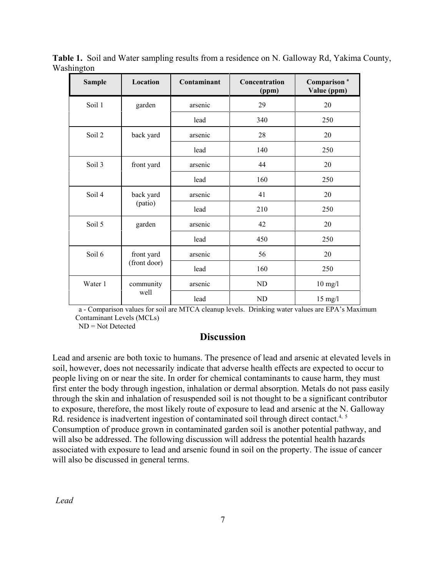| <b>Sample</b> | Location                   | Contaminant | Concentration<br>(ppm) | Comparison <sup>a</sup><br>Value (ppm) |
|---------------|----------------------------|-------------|------------------------|----------------------------------------|
| Soil 1        | garden                     | arsenic     | 29                     | 20                                     |
|               |                            | lead        | 340                    | 250                                    |
| Soil 2        | back yard                  | arsenic     | 28                     | 20                                     |
|               |                            | lead        | 140                    | 250                                    |
| Soil 3        | front yard                 | arsenic     | 44                     | 20                                     |
|               |                            | lead        | 160                    | 250                                    |
| Soil 4        | back yard<br>(patio)       | arsenic     | 41                     | 20                                     |
|               |                            | lead        | 210                    | 250                                    |
| Soil 5        | garden                     | arsenic     | 42                     | 20                                     |
|               |                            | lead        | 450                    | 250                                    |
| Soil 6        | front yard<br>(front door) | arsenic     | 56                     | 20                                     |
|               |                            | lead        | 160                    | 250                                    |
| Water 1       | community<br>well          | arsenic     | ND                     | $10$ mg/l                              |
|               |                            | lead        | ND                     | $15 \text{ mg}/l$                      |

**Table 1.** Soil and Water sampling results from a residence on N. Galloway Rd, Yakima County, Washington

a - Comparison values for soil are MTCA cleanup levels. Drinking water values are EPA's Maximum Contaminant Levels (MCLs)

ND = Not Detected

## **Discussion**

Lead and arsenic are both toxic to humans. The presence of lead and arsenic at elevated levels in soil, however, does not necessarily indicate that adverse health effects are expected to occur to people living on or near the site. In order for chemical contaminants to cause harm, they must first enter the body through ingestion, inhalation or dermal absorption. Metals do not pass easily through the skin and inhalation of resuspended soil is not thought to be a significant contributor to exposure, therefore, the most likely route of exposure to lead and arsenic at the N. Galloway Rd. residence is inadvertent ingestion of contaminated soil through direct contact.<sup>4, 5</sup> Consumption of produce grown in contaminated garden soil is another potential pathway, and will also be addressed. The following discussion will address the potential health hazards associated with exposure to lead and arsenic found in soil on the property. The issue of cancer will also be discussed in general terms.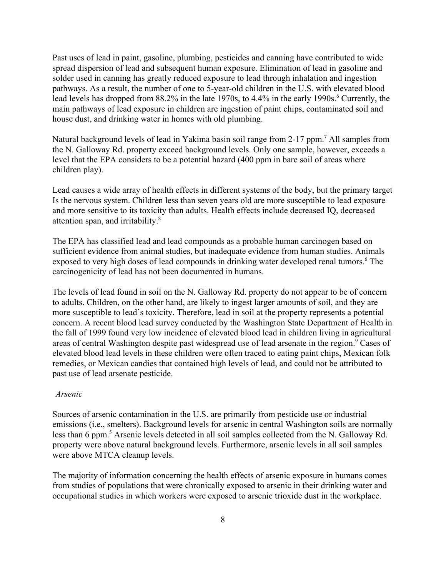Past uses of lead in paint, gasoline, plumbing, pesticides and canning have contributed to wide spread dispersion of lead and subsequent human exposure. Elimination of lead in gasoline and solder used in canning has greatly reduced exposure to lead through inhalation and ingestion pathways. As a result, the number of one to 5-year-old children in the U.S. with elevated blood lead levels has dropped from 88.2% in the late 1970s, to 4.4% in the early 1990s.<sup>6</sup> Currently, the main pathways of lead exposure in children are ingestion of paint chips, contaminated soil and house dust, and drinking water in homes with old plumbing.

Natural background levels of lead in Yakima basin soil range from 2-17 ppm.<sup>7</sup> All samples from the N. Galloway Rd. property exceed background levels. Only one sample, however, exceeds a level that the EPA considers to be a potential hazard (400 ppm in bare soil of areas where children play).

Lead causes a wide array of health effects in different systems of the body, but the primary target Is the nervous system. Children less than seven years old are more susceptible to lead exposure and more sensitive to its toxicity than adults. Health effects include decreased IQ, decreased attention span, and irritability.8

The EPA has classified lead and lead compounds as a probable human carcinogen based on sufficient evidence from animal studies, but inadequate evidence from human studies. Animals exposed to very high doses of lead compounds in drinking water developed renal tumors.<sup>6</sup> The carcinogenicity of lead has not been documented in humans.

The levels of lead found in soil on the N. Galloway Rd. property do not appear to be of concern to adults. Children, on the other hand, are likely to ingest larger amounts of soil, and they are more susceptible to lead's toxicity. Therefore, lead in soil at the property represents a potential concern. A recent blood lead survey conducted by the Washington State Department of Health in the fall of 1999 found very low incidence of elevated blood lead in children living in agricultural areas of central Washington despite past widespread use of lead arsenate in the region.<sup>9</sup> Cases of elevated blood lead levels in these children were often traced to eating paint chips, Mexican folk remedies, or Mexican candies that contained high levels of lead, and could not be attributed to past use of lead arsenate pesticide.

#### *Arsenic*

Sources of arsenic contamination in the U.S. are primarily from pesticide use or industrial emissions (i.e., smelters). Background levels for arsenic in central Washington soils are normally less than 6 ppm.<sup>5</sup> Arsenic levels detected in all soil samples collected from the N. Galloway Rd. property were above natural background levels. Furthermore, arsenic levels in all soil samples were above MTCA cleanup levels.

The majority of information concerning the health effects of arsenic exposure in humans comes from studies of populations that were chronically exposed to arsenic in their drinking water and occupational studies in which workers were exposed to arsenic trioxide dust in the workplace.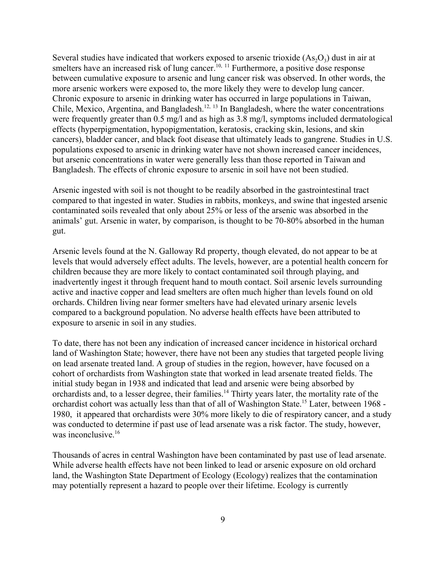Several studies have indicated that workers exposed to arsenic trioxide  $(As<sub>2</sub>O<sub>3</sub>)$  dust in air at smelters have an increased risk of lung cancer.<sup>10, 11</sup> Furthermore, a positive dose response between cumulative exposure to arsenic and lung cancer risk was observed. In other words, the more arsenic workers were exposed to, the more likely they were to develop lung cancer. Chronic exposure to arsenic in drinking water has occurred in large populations in Taiwan, Chile, Mexico, Argentina, and Bangladesh.<sup>12, 13</sup> In Bangladesh, where the water concentrations were frequently greater than 0.5 mg/l and as high as 3.8 mg/l, symptoms included dermatological effects (hyperpigmentation, hypopigmentation, keratosis, cracking skin, lesions, and skin cancers), bladder cancer, and black foot disease that ultimately leads to gangrene. Studies in U.S. populations exposed to arsenic in drinking water have not shown increased cancer incidences, but arsenic concentrations in water were generally less than those reported in Taiwan and Bangladesh. The effects of chronic exposure to arsenic in soil have not been studied.

Arsenic ingested with soil is not thought to be readily absorbed in the gastrointestinal tract compared to that ingested in water. Studies in rabbits, monkeys, and swine that ingested arsenic contaminated soils revealed that only about 25% or less of the arsenic was absorbed in the animals' gut. Arsenic in water, by comparison, is thought to be 70-80% absorbed in the human gut.

Arsenic levels found at the N. Galloway Rd property, though elevated, do not appear to be at levels that would adversely effect adults. The levels, however, are a potential health concern for children because they are more likely to contact contaminated soil through playing, and inadvertently ingest it through frequent hand to mouth contact. Soil arsenic levels surrounding active and inactive copper and lead smelters are often much higher than levels found on old orchards. Children living near former smelters have had elevated urinary arsenic levels compared to a background population. No adverse health effects have been attributed to exposure to arsenic in soil in any studies.

To date, there has not been any indication of increased cancer incidence in historical orchard land of Washington State; however, there have not been any studies that targeted people living on lead arsenate treated land. A group of studies in the region, however, have focused on a cohort of orchardists from Washington state that worked in lead arsenate treated fields. The initial study began in 1938 and indicated that lead and arsenic were being absorbed by orchardists and, to a lesser degree, their families.14 Thirty years later, the mortality rate of the orchardist cohort was actually less than that of all of Washington State.15 Later, between 1968 - 1980, it appeared that orchardists were 30% more likely to die of respiratory cancer, and a study was conducted to determine if past use of lead arsenate was a risk factor. The study, however, was inconclusive.<sup>16</sup>

Thousands of acres in central Washington have been contaminated by past use of lead arsenate. While adverse health effects have not been linked to lead or arsenic exposure on old orchard land, the Washington State Department of Ecology (Ecology) realizes that the contamination may potentially represent a hazard to people over their lifetime. Ecology is currently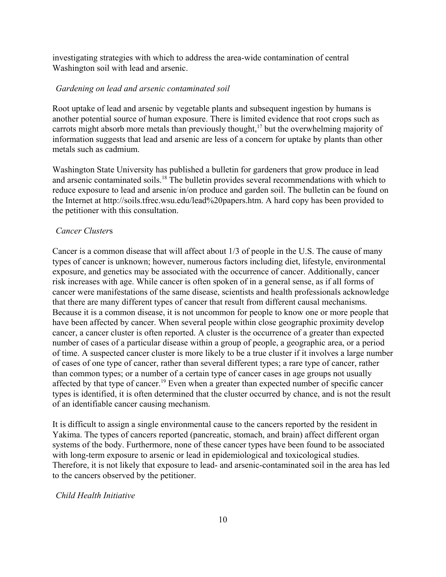investigating strategies with which to address the area-wide contamination of central Washington soil with lead and arsenic.

#### *Gardening on lead and arsenic contaminated soil*

Root uptake of lead and arsenic by vegetable plants and subsequent ingestion by humans is another potential source of human exposure. There is limited evidence that root crops such as carrots might absorb more metals than previously thought,<sup>17</sup> but the overwhelming majority of information suggests that lead and arsenic are less of a concern for uptake by plants than other metals such as cadmium.

Washington State University has published a bulletin for gardeners that grow produce in lead and arsenic contaminated soils.<sup>18</sup> The bulletin provides several recommendations with which to reduce exposure to lead and arsenic in/on produce and garden soil. The bulletin can be found on the Internet at http://soils.tfrec.wsu.edu/lead%20papers.htm. A hard copy has been provided to the petitioner with this consultation.

#### *Cancer Cluster*s

Cancer is a common disease that will affect about 1/3 of people in the U.S. The cause of many types of cancer is unknown; however, numerous factors including diet, lifestyle, environmental exposure, and genetics may be associated with the occurrence of cancer. Additionally, cancer risk increases with age. While cancer is often spoken of in a general sense, as if all forms of cancer were manifestations of the same disease, scientists and health professionals acknowledge that there are many different types of cancer that result from different causal mechanisms. Because it is a common disease, it is not uncommon for people to know one or more people that have been affected by cancer. When several people within close geographic proximity develop cancer, a cancer cluster is often reported. A cluster is the occurrence of a greater than expected number of cases of a particular disease within a group of people, a geographic area, or a period of time. A suspected cancer cluster is more likely to be a true cluster if it involves a large number of cases of one type of cancer, rather than several different types; a rare type of cancer, rather than common types; or a number of a certain type of cancer cases in age groups not usually affected by that type of cancer.<sup>19</sup> Even when a greater than expected number of specific cancer types is identified, it is often determined that the cluster occurred by chance, and is not the result of an identifiable cancer causing mechanism.

It is difficult to assign a single environmental cause to the cancers reported by the resident in Yakima. The types of cancers reported (pancreatic, stomach, and brain) affect different organ systems of the body. Furthermore, none of these cancer types have been found to be associated with long-term exposure to arsenic or lead in epidemiological and toxicological studies. Therefore, it is not likely that exposure to lead- and arsenic-contaminated soil in the area has led to the cancers observed by the petitioner.

#### *Child Health Initiative*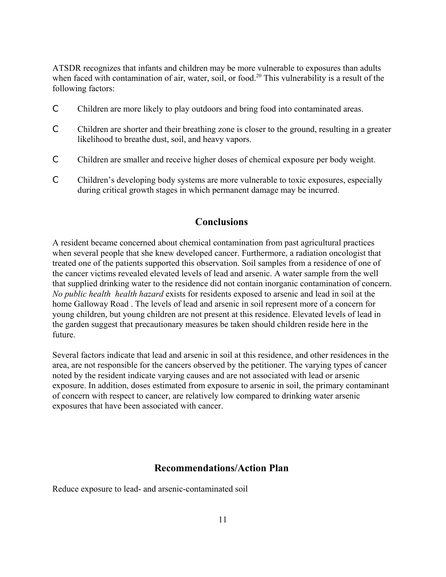ATSDR recognizes that infants and children may be more vulnerable to exposures than adults when faced with contamination of air, water, soil, or food.<sup>20</sup> This vulnerability is a result of the following factors:

- C Children are more likely to play outdoors and bring food into contaminated areas.
- C Children are shorter and their breathing zone is closer to the ground, resulting in a greater likelihood to breathe dust, soil, and heavy vapors.
- C Children are smaller and receive higher doses of chemical exposure per body weight.
- C Children's developing body systems are more vulnerable to toxic exposures, especially during critical growth stages in which permanent damage may be incurred.

## **Conclusions**

A resident became concerned about chemical contamination from past agricultural practices when several people that she knew developed cancer. Furthermore, a radiation oncologist that treated one of the patients supported this observation. Soil samples from a residence of one of the cancer victims revealed elevated levels of lead and arsenic. A water sample from the well that supplied drinking water to the residence did not contain inorganic contamination of concern. *No public health health hazard* exists for residents exposed to arsenic and lead in soil at the home Galloway Road . The levels of lead and arsenic in soil represent more of a concern for young children, but young children are not present at this residence. Elevated levels of lead in the garden suggest that precautionary measures be taken should children reside here in the future.

Several factors indicate that lead and arsenic in soil at this residence, and other residences in the area, are not responsible for the cancers observed by the petitioner. The varying types of cancer noted by the resident indicate varying causes and are not associated with lead or arsenic exposure. In addition, doses estimated from exposure to arsenic in soil, the primary contaminant of concern with respect to cancer, are relatively low compared to drinking water arsenic exposures that have been associated with cancer.

#### **Recommendations/Action Plan**

Reduce exposure to lead- and arsenic-contaminated soil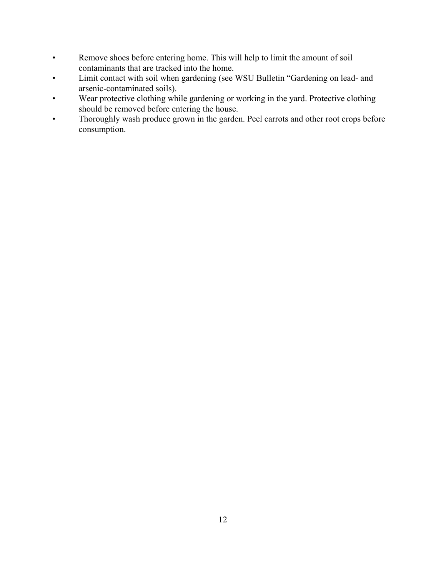- Remove shoes before entering home. This will help to limit the amount of soil contaminants that are tracked into the home.
- Limit contact with soil when gardening (see WSU Bulletin "Gardening on lead- and arsenic-contaminated soils).
- Wear protective clothing while gardening or working in the yard. Protective clothing should be removed before entering the house.
- Thoroughly wash produce grown in the garden. Peel carrots and other root crops before consumption.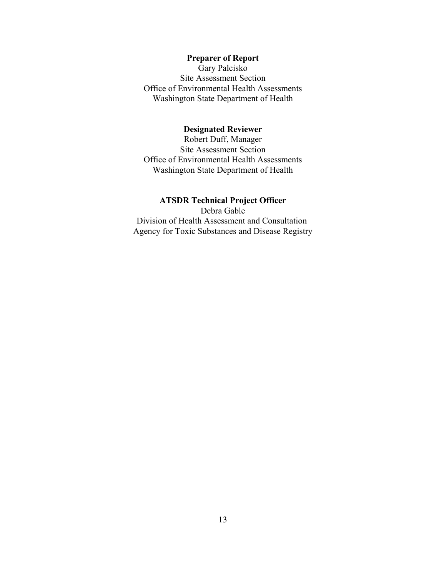### **Preparer of Report**

Gary Palcisko Site Assessment Section Office of Environmental Health Assessments Washington State Department of Health

#### **Designated Reviewer**

Robert Duff, Manager Site Assessment Section Office of Environmental Health Assessments Washington State Department of Health

#### **ATSDR Technical Project Officer**

Debra Gable Division of Health Assessment and Consultation Agency for Toxic Substances and Disease Registry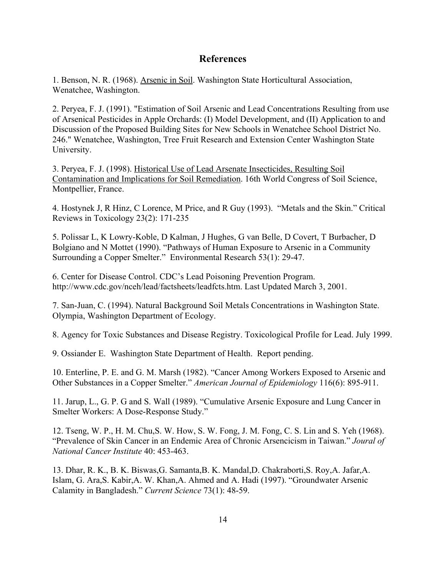## **References**

1. Benson, N. R. (1968). Arsenic in Soil. Washington State Horticultural Association, Wenatchee, Washington.

2. Peryea, F. J. (1991). "Estimation of Soil Arsenic and Lead Concentrations Resulting from use of Arsenical Pesticides in Apple Orchards: (I) Model Development, and (II) Application to and Discussion of the Proposed Building Sites for New Schools in Wenatchee School District No. 246." Wenatchee, Washington, Tree Fruit Research and Extension Center Washington State University.

3. Peryea, F. J. (1998). Historical Use of Lead Arsenate Insecticides, Resulting Soil Contamination and Implications for Soil Remediation. 16th World Congress of Soil Science, Montpellier, France.

4. Hostynek J, R Hinz, C Lorence, M Price, and R Guy (1993). "Metals and the Skin." Critical Reviews in Toxicology 23(2): 171-235

5. Polissar L, K Lowry-Koble, D Kalman, J Hughes, G van Belle, D Covert, T Burbacher, D Bolgiano and N Mottet (1990). "Pathways of Human Exposure to Arsenic in a Community Surrounding a Copper Smelter." Environmental Research 53(1): 29-47.

6. Center for Disease Control. CDC's Lead Poisoning Prevention Program. http://www.cdc.gov/nceh/lead/factsheets/leadfcts.htm. Last Updated March 3, 2001.

7. San-Juan, C. (1994). Natural Background Soil Metals Concentrations in Washington State. Olympia, Washington Department of Ecology.

8. Agency for Toxic Substances and Disease Registry. Toxicological Profile for Lead. July 1999.

9. Ossiander E. Washington State Department of Health. Report pending.

10. Enterline, P. E. and G. M. Marsh (1982). "Cancer Among Workers Exposed to Arsenic and Other Substances in a Copper Smelter." *American Journal of Epidemiology* 116(6): 895-911.

11. Jarup, L., G. P. G and S. Wall (1989). "Cumulative Arsenic Exposure and Lung Cancer in Smelter Workers: A Dose-Response Study."

12. Tseng, W. P., H. M. Chu,S. W. How, S. W. Fong, J. M. Fong, C. S. Lin and S. Yeh (1968). "Prevalence of Skin Cancer in an Endemic Area of Chronic Arsencicism in Taiwan." *Joural of National Cancer Institute* 40: 453-463.

13. Dhar, R. K., B. K. Biswas,G. Samanta,B. K. Mandal,D. Chakraborti,S. Roy,A. Jafar,A. Islam, G. Ara,S. Kabir,A. W. Khan,A. Ahmed and A. Hadi (1997). "Groundwater Arsenic Calamity in Bangladesh." *Current Science* 73(1): 48-59.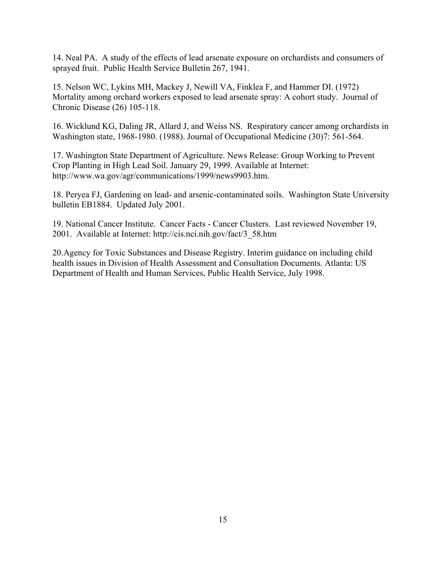14. Neal PA. A study of the effects of lead arsenate exposure on orchardists and consumers of sprayed fruit. Public Health Service Bulletin 267, 1941.

15. Nelson WC, Lykins MH, Mackey J, Newill VA, Finklea F, and Hammer DI. (1972) Mortality among orchard workers exposed to lead arsenate spray: A cohort study. Journal of Chronic Disease (26) 105-118.

16. Wicklund KG, Daling JR, Allard J, and Weiss NS. Respiratory cancer among orchardists in Washington state, 1968-1980. (1988). Journal of Occupational Medicine (30)7: 561-564.

17. Washington State Department of Agriculture. News Release: Group Working to Prevent Crop Planting in High Lead Soil. January 29, 1999. Available at Internet: http://www.wa.gov/agr/communications/1999/news9903.htm.

18. Peryea FJ, Gardening on lead- and arsenic-contaminated soils. Washington State University bulletin EB1884. Updated July 2001.

19. National Cancer Institute. Cancer Facts - Cancer Clusters. Last reviewed November 19, 2001. Available at Internet: http://cis.nci.nih.gov/fact/3\_58.htm

20.Agency for Toxic Substances and Disease Registry. Interim guidance on including child health issues in Division of Health Assessment and Consultation Documents. Atlanta: US Department of Health and Human Services, Public Health Service, July 1998.